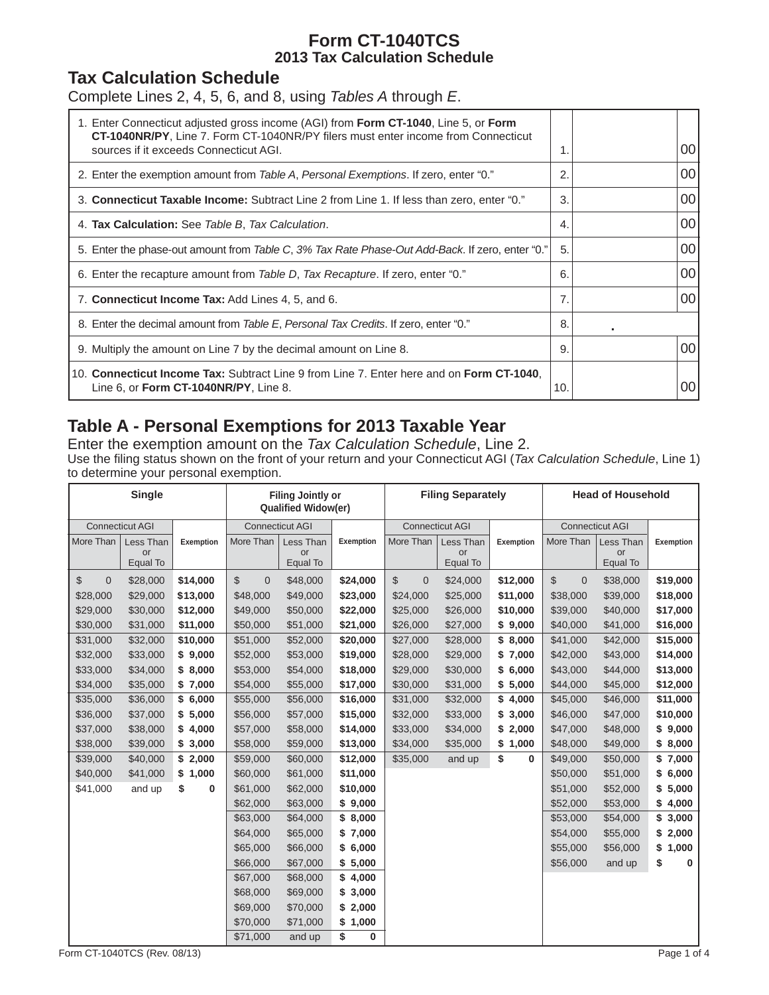### **Form CT-1040TCS 2013 Tax Calculation Schedule**

### **Tax Calculation Schedule**

Complete Lines 2, 4, 5, 6, and 8, using *Tables A* through *E*.

| 1. Enter Connecticut adjusted gross income (AGI) from Form CT-1040, Line 5, or Form<br><b>CT-1040NR/PY, Line 7. Form CT-1040NR/PY filers must enter income from Connecticut</b><br>sources if it exceeds Connecticut AGI. | 1.  |   | 00 |
|---------------------------------------------------------------------------------------------------------------------------------------------------------------------------------------------------------------------------|-----|---|----|
|                                                                                                                                                                                                                           |     |   |    |
| 2. Enter the exemption amount from Table A, Personal Exemptions. If zero, enter "0."                                                                                                                                      | 2.  |   | 00 |
| 3. Connecticut Taxable Income: Subtract Line 2 from Line 1. If less than zero, enter "0."                                                                                                                                 | 3.  |   | 00 |
| 4. Tax Calculation: See Table B, Tax Calculation.                                                                                                                                                                         | 4.  |   | 00 |
| 5. Enter the phase-out amount from Table C, 3% Tax Rate Phase-Out Add-Back. If zero, enter "0."                                                                                                                           | 5.  |   | 00 |
| 6. Enter the recapture amount from Table D, Tax Recapture. If zero, enter "0."                                                                                                                                            | 6.  |   | 00 |
| 7. Connecticut Income Tax: Add Lines 4, 5, and 6.                                                                                                                                                                         | 7.  |   | 00 |
| 8. Enter the decimal amount from Table E, Personal Tax Credits. If zero, enter "0."                                                                                                                                       | 8.  | ٠ |    |
| 9. Multiply the amount on Line 7 by the decimal amount on Line 8.                                                                                                                                                         | 9.  |   | 00 |
| 10. Connecticut Income Tax: Subtract Line 9 from Line 7. Enter here and on Form CT-1040.<br>Line 6, or Form CT-1040NR/PY, Line 8.                                                                                         | 10. |   | 00 |

## **Table A - Personal Exemptions for 2013 Taxable Year**

Enter the exemption amount on the *Tax Calculation Schedule*, Line 2.

Use the filing status shown on the front of your return and your Connecticut AGI (*Tax Calculation Schedule*, Line 1) to determine your personal exemption.

| <b>Single</b>      |                        |           | <b>Filing Jointly or</b><br><b>Qualified Widow(er)</b> |                        |           | <b>Filing Separately</b>       |                        |             | <b>Head of Household</b>     |                        |           |
|--------------------|------------------------|-----------|--------------------------------------------------------|------------------------|-----------|--------------------------------|------------------------|-------------|------------------------------|------------------------|-----------|
|                    | <b>Connecticut AGI</b> |           |                                                        | <b>Connecticut AGI</b> |           |                                | <b>Connecticut AGI</b> |             |                              | <b>Connecticut AGI</b> |           |
| More Than          | Less Than              | Exemption | More Than                                              | Less Than              | Exemption | More Than                      | Less Than              | Exemption   | More Than                    | Less Than              | Exemption |
|                    | or<br>Equal To         |           |                                                        | or<br>Equal To         |           |                                | or<br>Equal To         |             |                              | or<br>Equal To         |           |
| \$<br>$\mathbf{0}$ | \$28,000               | \$14,000  | $\mathbb S$<br>$\mathbf 0$                             | \$48,000               | \$24,000  | $\mathbb{S}$<br>$\overline{0}$ | \$24,000               | \$12,000    | $\mathcal{S}$<br>$\mathbf 0$ | \$38,000               | \$19,000  |
| \$28,000           | \$29,000               | \$13,000  | \$48,000                                               | \$49,000               | \$23,000  | \$24,000                       | \$25,000               | \$11,000    | \$38,000                     | \$39,000               | \$18,000  |
| \$29,000           | \$30,000               | \$12,000  | \$49,000                                               | \$50,000               | \$22,000  | \$25,000                       | \$26,000               | \$10,000    | \$39,000                     | \$40,000               | \$17,000  |
| \$30,000           | \$31,000               | \$11,000  | \$50,000                                               | \$51,000               | \$21,000  | \$26,000                       | \$27,000               | \$9,000     | \$40,000                     | \$41,000               | \$16,000  |
| \$31,000           | \$32,000               | \$10,000  | \$51,000                                               | \$52,000               | \$20,000  | \$27,000                       | \$28,000               | \$8,000     | \$41,000                     | \$42,000               | \$15,000  |
| \$32,000           | \$33,000               | \$9,000   | \$52,000                                               | \$53,000               | \$19,000  | \$28,000                       | \$29,000               | 7,000<br>\$ | \$42,000                     | \$43,000               | \$14,000  |
| \$33,000           | \$34,000               | \$8,000   | \$53,000                                               | \$54,000               | \$18,000  | \$29,000                       | \$30,000               | \$<br>6,000 | \$43,000                     | \$44,000               | \$13,000  |
| \$34,000           | \$35,000               | \$7,000   | \$54,000                                               | \$55,000               | \$17,000  | \$30,000                       | \$31,000               | 5,000<br>\$ | \$44,000                     | \$45,000               | \$12,000  |
| \$35,000           | \$36,000               | \$6,000   | \$55,000                                               | \$56,000               | \$16,000  | \$31,000                       | \$32,000               | \$<br>4,000 | \$45,000                     | \$46,000               | \$11,000  |
| \$36,000           | \$37,000               | \$5,000   | \$56,000                                               | \$57,000               | \$15,000  | \$32,000                       | \$33,000               | \$<br>3,000 | \$46,000                     | \$47,000               | \$10,000  |
| \$37,000           | \$38,000               | \$4,000   | \$57,000                                               | \$58,000               | \$14,000  | \$33,000                       | \$34,000               | \$<br>2,000 | \$47,000                     | \$48,000               | \$9,000   |
| \$38,000           | \$39,000               | \$3,000   | \$58,000                                               | \$59,000               | \$13,000  | \$34,000                       | \$35,000               | \$<br>1,000 | \$48,000                     | \$49,000               | \$8,000   |
| \$39,000           | \$40,000               | \$2,000   | \$59,000                                               | \$60,000               | \$12,000  | \$35,000                       | and up                 | \$<br>0     | \$49,000                     | \$50,000               | \$7,000   |
| \$40,000           | \$41,000               | \$1,000   | \$60,000                                               | \$61,000               | \$11,000  |                                |                        |             | \$50,000                     | \$51,000               | \$6,000   |
| \$41,000           | and up                 | \$<br>0   | \$61,000                                               | \$62,000               | \$10,000  |                                |                        |             | \$51,000                     | \$52,000               | \$5,000   |
|                    |                        |           | \$62,000                                               | \$63,000               | \$9,000   |                                |                        |             | \$52,000                     | \$53,000               | \$4,000   |
|                    |                        |           | \$63,000                                               | \$64,000               | \$8,000   |                                |                        |             | \$53,000                     | \$54,000               | \$3,000   |
|                    |                        |           | \$64,000                                               | \$65,000               | \$7,000   |                                |                        |             | \$54,000                     | \$55,000               | \$2,000   |
|                    |                        |           | \$65,000                                               | \$66,000               | \$6,000   |                                |                        |             | \$55,000                     | \$56,000               | \$1,000   |
|                    |                        |           | \$66,000                                               | \$67,000               | \$5,000   |                                |                        |             | \$56,000                     | and up                 | \$<br>0   |
|                    |                        |           | \$67,000                                               | \$68,000               | \$4,000   |                                |                        |             |                              |                        |           |
|                    |                        |           | \$68,000                                               | \$69,000               | \$3,000   |                                |                        |             |                              |                        |           |
|                    |                        |           | \$69,000                                               | \$70,000               | \$2,000   |                                |                        |             |                              |                        |           |
|                    |                        |           | \$70,000                                               | \$71,000               | \$1,000   |                                |                        |             |                              |                        |           |
|                    |                        |           | \$71,000                                               | and up                 | \$<br>0   |                                |                        |             |                              |                        |           |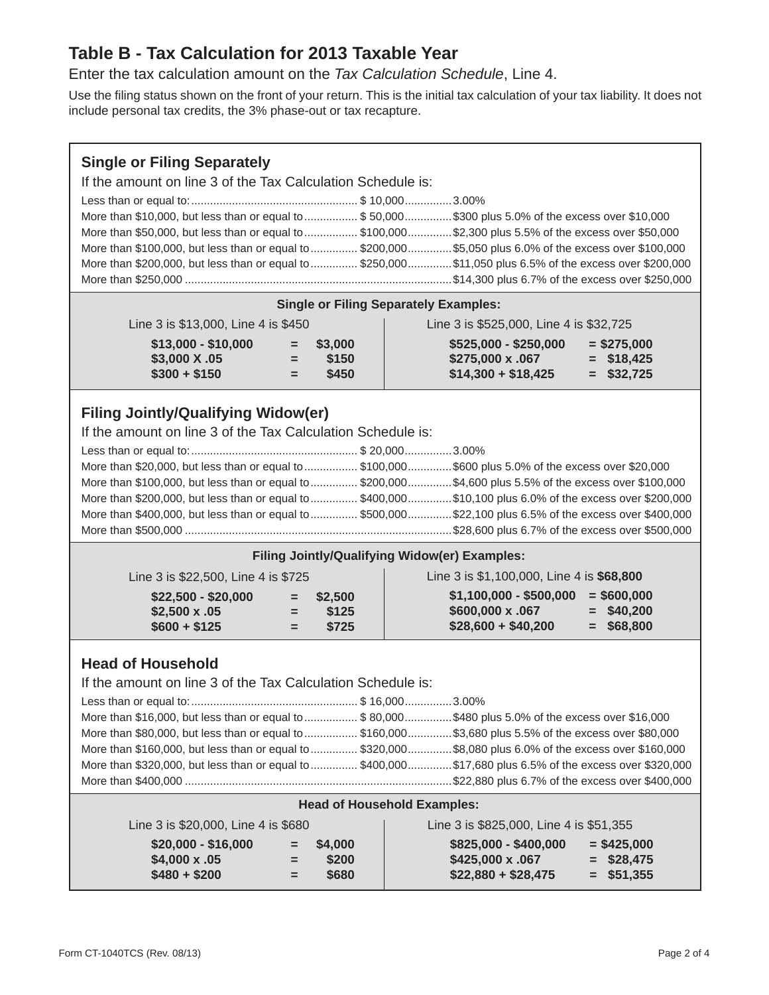### **Table B - Tax Calculation for 2013 Taxable Year**

Enter the tax calculation amount on the *Tax Calculation Schedule*, Line 4.

Use the filing status shown on the front of your return. This is the initial tax calculation of your tax liability. It does not include personal tax credits, the 3% phase-out or tax recapture.

#### **Single or Filing Separately**

If the amount on line 3 of the Tax Calculation Schedule is:

| More than \$10,000, but less than or equal to  \$50,000\$300 plus 5.0% of the excess over \$10,000        |  |
|-----------------------------------------------------------------------------------------------------------|--|
| More than \$50,000, but less than or equal to  \$100,000 \$2,300 plus 5.5% of the excess over \$50,000    |  |
| More than \$100,000, but less than or equal to  \$200,000  \$5,050 plus 6.0% of the excess over \$100,000 |  |
| More than \$200,000, but less than or equal to  \$250,000 \$11,050 plus 6.5% of the excess over \$200,000 |  |
|                                                                                                           |  |

|  |  | <b>Single or Filing Separately Examples:</b> |  |
|--|--|----------------------------------------------|--|
|--|--|----------------------------------------------|--|

| Line 3 is \$13,000, Line 4 is \$450 |  |
|-------------------------------------|--|
|-------------------------------------|--|

| $$525,000 - $250,000$<br>$$13,000 - $10,000$<br>$=$ \$3,000 | $=$ \$275,000 |  |
|-------------------------------------------------------------|---------------|--|
|                                                             |               |  |
| \$3,000 X .05<br>\$275,000 x .067<br>\$150<br>$=$           | $=$ \$18,425  |  |
| $$14,300 + $18,425$<br>$$300 + $150$<br>\$450<br>Ξ.         | $=$ \$32,725  |  |

Line 3 is \$525,000, Line 4 is \$32,725

### **Filing Jointly/Qualifying Widow(er)**

If the amount on line 3 of the Tax Calculation Schedule is:

| More than \$20,000, but less than or equal to \$100,000\$600 plus 5.0% of the excess over \$20,000        |  |
|-----------------------------------------------------------------------------------------------------------|--|
| More than \$100,000, but less than or equal to  \$200,000  \$4,600 plus 5.5% of the excess over \$100,000 |  |
| More than \$200,000, but less than or equal to  \$400,000 \$10,100 plus 6.0% of the excess over \$200,000 |  |
| More than \$400,000, but less than or equal to  \$500,000 \$22,100 plus 6.5% of the excess over \$400,000 |  |
|                                                                                                           |  |

#### **Filing Jointly/Qualifying Widow(er) Examples:**

| Line 3 is \$22,500, Line 4 is \$725 | Line 3 is \$1,100,000, Line 4 is \$68,800 |
|-------------------------------------|-------------------------------------------|
| $$22,500 - $20,000$                 | $$1,100,000 - $500,000$                   |
| $=$ \$2.500                         | $=$ \$600,000                             |
| $$2,500 \times .05$                 | \$600,000 x .067                          |
| \$125                               | $=$ \$40,200                              |
| $=$                                 | $$28,600 + $40,200$                       |
| $$600 + $125$                       | $=$ \$68,800                              |
| ਢ                                   | \$725                                     |

#### **Head of Household**

If the amount on line 3 of the Tax Calculation Schedule is:

| More than \$16,000, but less than or equal to  \$80,000\$480 plus 5.0% of the excess over \$16,000        |  |
|-----------------------------------------------------------------------------------------------------------|--|
| More than \$80,000, but less than or equal to  \$160,000 \$3,680 plus 5.5% of the excess over \$80,000    |  |
| More than \$160,000, but less than or equal to  \$320,000  \$8,080 plus 6.0% of the excess over \$160,000 |  |
| More than \$320,000, but less than or equal to  \$400,000 \$17,680 plus 6.5% of the excess over \$320,000 |  |
|                                                                                                           |  |

#### **Head of Household Examples:**

| Line 3 is \$20,000, Line 4 is \$680 |              | Line 3 is \$825,000, Line 4 is \$51,355 |  |
|-------------------------------------|--------------|-----------------------------------------|--|
| $$20,000 - $16,000$                 | $=$ \$4,000  | $$825,000 - $400,000$<br>$=$ \$425,000  |  |
| $$4.000 \times .05$                 | \$200<br>$=$ | \$425,000 x .067<br>$=$ \$28,475        |  |
| $$480 + $200$                       | \$680<br>$=$ | $$22,880 + $28,475$<br>$=$ \$51.355     |  |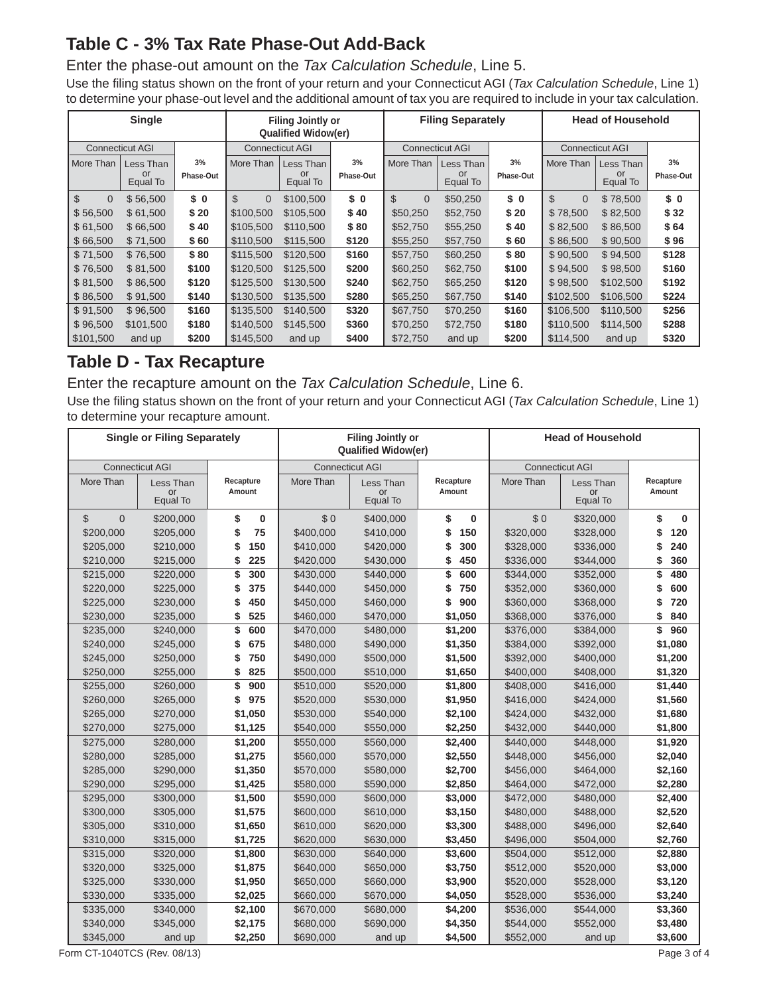# **Table C - 3% Tax Rate Phase-Out Add-Back**

#### Enter the phase-out amount on the *Tax Calculation Schedule*, Line 5.

Use the filing status shown on the front of your return and your Connecticut AGI (*Tax Calculation Schedule*, Line 1) to determine your phase-out level and the additional amount of tax you are required to include in your tax calculation.

|                            | <b>Single</b>          |           |                        | <b>Filing Jointly or</b><br><b>Qualified Widow(er)</b> |           |                            | <b>Filing Separately</b> |           | <b>Head of Household</b> |                |           |
|----------------------------|------------------------|-----------|------------------------|--------------------------------------------------------|-----------|----------------------------|--------------------------|-----------|--------------------------|----------------|-----------|
|                            | <b>Connecticut AGI</b> |           | <b>Connecticut AGI</b> |                                                        |           | <b>Connecticut AGI</b>     |                          |           | <b>Connecticut AGI</b>   |                |           |
| More Than                  | Less Than              | 3%        | More Than              | Less Than                                              | 3%        | More Than                  | Less Than                | 3%        | More Than                | Less Than      | 3%        |
|                            | or<br>Equal To         | Phase-Out |                        | or<br>Equal To                                         | Phase-Out |                            | or<br>Equal To           | Phase-Out |                          | or<br>Equal To | Phase-Out |
| $\mathfrak{S}$<br>$\Omega$ | \$56,500               | \$0       | \$<br>$\Omega$         | \$100,500                                              | \$0       | $\mathfrak{S}$<br>$\Omega$ | \$50,250                 | \$0       | \$<br>$\overline{0}$     | \$78,500       | \$0       |
| \$56,500                   | \$61,500               | \$20      | \$100.500              | \$105,500                                              | \$40      | \$50,250                   | \$52,750                 | \$20      | \$78.500                 | \$82,500       | \$32      |
| \$61,500                   | \$66,500               | \$40      | \$105,500              | \$110,500                                              | \$80      | \$52,750                   | \$55,250                 | \$40      | \$82,500                 | \$86,500       | \$64      |
| \$66,500                   | \$71,500               | \$60      | \$110,500              | \$115,500                                              | \$120     | \$55,250                   | \$57,750                 | \$ 60     | \$86,500                 | \$90,500       | \$96      |
| \$71,500                   | \$76,500               | \$80      | \$115,500              | \$120,500                                              | \$160     | \$57,750                   | \$60,250                 | \$80      | \$90,500                 | \$94,500       | \$128     |
| \$76,500                   | \$81,500               | \$100     | \$120,500              | \$125,500                                              | \$200     | \$60,250                   | \$62,750                 | \$100     | \$94,500                 | \$98,500       | \$160     |
| \$81.500                   | \$86,500               | \$120     | \$125,500              | \$130,500                                              | \$240     | \$62,750                   | \$65,250                 | \$120     | \$98,500                 | \$102,500      | \$192     |
| \$86,500                   | \$91,500               | \$140     | \$130,500              | \$135,500                                              | \$280     | \$65,250                   | \$67,750                 | \$140     | \$102,500                | \$106,500      | \$224     |
| \$91,500                   | \$96,500               | \$160     | \$135,500              | \$140,500                                              | \$320     | \$67,750                   | \$70,250                 | \$160     | \$106.500                | \$110,500      | \$256     |
| \$96,500                   | \$101,500              | \$180     | \$140,500              | \$145,500                                              | \$360     | \$70,250                   | \$72,750                 | \$180     | \$110,500                | \$114,500      | \$288     |
| \$101,500                  | and up                 | \$200     | \$145,500              | and up                                                 | \$400     | \$72,750                   | and up                   | \$200     | \$114,500                | and up         | \$320     |

## **Table D - Tax Recapture**

Enter the recapture amount on the *Tax Calculation Schedule*, Line 6.

Use the filing status shown on the front of your return and your Connecticut AGI (*Tax Calculation Schedule*, Line 1) to determine your recapture amount.

|                | <b>Single or Filing Separately</b> |                     | <b>Filing Jointly or</b><br>Qualified Widow(er) |                             |                     | <b>Head of Household</b> |                             |                     |
|----------------|------------------------------------|---------------------|-------------------------------------------------|-----------------------------|---------------------|--------------------------|-----------------------------|---------------------|
|                | <b>Connecticut AGI</b>             |                     |                                                 | <b>Connecticut AGI</b>      |                     | <b>Connecticut AGI</b>   |                             |                     |
| More Than      | Less Than<br>or<br>Equal To        | Recapture<br>Amount | More Than                                       | Less Than<br>or<br>Equal To | Recapture<br>Amount | More Than                | Less Than<br>or<br>Equal To | Recapture<br>Amount |
| \$<br>$\Omega$ | \$200,000                          | \$<br>0             | \$0                                             | \$400,000                   | \$<br>$\bf{0}$      | \$0                      | \$320,000                   | \$<br>$\bf{0}$      |
| \$200,000      | \$205,000                          | \$<br>75            | \$400,000                                       | \$410,000                   | 150<br>\$           | \$320,000                | \$328,000                   | 120<br>\$           |
| \$205,000      | \$210,000                          | 150<br>\$           | \$410,000                                       | \$420,000                   | 300<br>\$           | \$328,000                | \$336,000                   | 240                 |
| \$210,000      | \$215,000                          | 225<br>\$           | \$420,000                                       | \$430,000                   | 450<br>\$           | \$336,000                | \$344,000                   | 360<br>\$           |
| \$215,000      | \$220,000                          | 300<br>\$           | \$430,000                                       | \$440,000                   | \$<br>600           | \$344,000                | \$352,000                   | 480<br>\$           |
| \$220,000      | \$225,000                          | 375<br>\$           | \$440,000                                       | \$450,000                   | 750<br>\$           | \$352,000                | \$360,000                   | 600<br>S            |
| \$225,000      | \$230,000                          | 450<br>\$           | \$450,000                                       | \$460,000                   | \$<br>900           | \$360,000                | \$368,000                   | 720<br>\$           |
| \$230,000      | \$235,000                          | 525<br>\$           | \$460,000                                       | \$470,000                   | \$1,050             | \$368,000                | \$376,000                   | 840<br>\$           |
| \$235,000      | \$240,000                          | 600<br>\$           | \$470,000                                       | \$480,000                   | \$1,200             | \$376,000                | \$384,000                   | \$<br>960           |
| \$240,000      | \$245,000                          | 675<br>S            | \$480,000                                       | \$490,000                   | \$1,350             | \$384,000                | \$392,000                   | \$1,080             |
| \$245,000      | \$250,000                          | 750<br>\$           | \$490,000                                       | \$500,000                   | \$1,500             | \$392,000                | \$400,000                   | \$1,200             |
| \$250,000      | \$255,000                          | 825<br>\$           | \$500,000                                       | \$510,000                   | \$1,650             | \$400,000                | \$408,000                   | \$1,320             |
| \$255,000      | \$260,000                          | \$<br>900           | \$510,000                                       | \$520,000                   | \$1,800             | \$408,000                | \$416,000                   | \$1,440             |
| \$260,000      | \$265,000                          | \$<br>975           | \$520,000                                       | \$530,000                   | \$1,950             | \$416,000                | \$424,000                   | \$1,560             |
| \$265,000      | \$270,000                          | \$1,050             | \$530,000                                       | \$540,000                   | \$2,100             | \$424,000                | \$432,000                   | \$1,680             |
| \$270,000      | \$275,000                          | \$1,125             | \$540,000                                       | \$550,000                   | \$2,250             | \$432,000                | \$440,000                   | \$1,800             |
| \$275,000      | \$280,000                          | \$1,200             | \$550,000                                       | \$560,000                   | \$2,400             | \$440,000                | \$448,000                   | \$1,920             |
| \$280,000      | \$285,000                          | \$1,275             | \$560,000                                       | \$570,000                   | \$2,550             | \$448,000                | \$456,000                   | \$2,040             |
| \$285,000      | \$290,000                          | \$1,350             | \$570,000                                       | \$580,000                   | \$2,700             | \$456,000                | \$464,000                   | \$2,160             |
| \$290,000      | \$295,000                          | \$1,425             | \$580,000                                       | \$590,000                   | \$2,850             | \$464,000                | \$472,000                   | \$2,280             |
| \$295,000      | \$300,000                          | \$1,500             | \$590,000                                       | \$600,000                   | \$3,000             | \$472,000                | \$480,000                   | \$2,400             |
| \$300,000      | \$305,000                          | \$1,575             | \$600,000                                       | \$610,000                   | \$3,150             | \$480,000                | \$488,000                   | \$2,520             |
| \$305,000      | \$310,000                          | \$1,650             | \$610,000                                       | \$620,000                   | \$3,300             | \$488,000                | \$496,000                   | \$2,640             |
| \$310,000      | \$315,000                          | \$1,725             | \$620,000                                       | \$630,000                   | \$3,450             | \$496,000                | \$504,000                   | \$2,760             |
| \$315,000      | \$320,000                          | \$1,800             | \$630,000                                       | \$640,000                   | \$3,600             | \$504,000                | \$512,000                   | \$2,880             |
| \$320,000      | \$325,000                          | \$1,875             | \$640,000                                       | \$650,000                   | \$3,750             | \$512,000                | \$520,000                   | \$3,000             |
| \$325,000      | \$330,000                          | \$1,950             | \$650,000                                       | \$660,000                   | \$3,900             | \$520,000                | \$528,000                   | \$3,120             |
| \$330,000      | \$335,000                          | \$2,025             | \$660,000                                       | \$670,000                   | \$4,050             | \$528,000                | \$536,000                   | \$3,240             |
| \$335,000      | \$340,000                          | \$2,100             | \$670,000                                       | \$680,000                   | \$4,200             | \$536,000                | \$544,000                   | \$3,360             |
| \$340,000      | \$345,000                          | \$2,175             | \$680,000                                       | \$690,000                   | \$4,350             | \$544,000                | \$552,000                   | \$3,480             |
| \$345,000      | and up                             | \$2,250             | \$690,000                                       | and up                      | \$4,500             | \$552,000                | and up                      | \$3,600             |